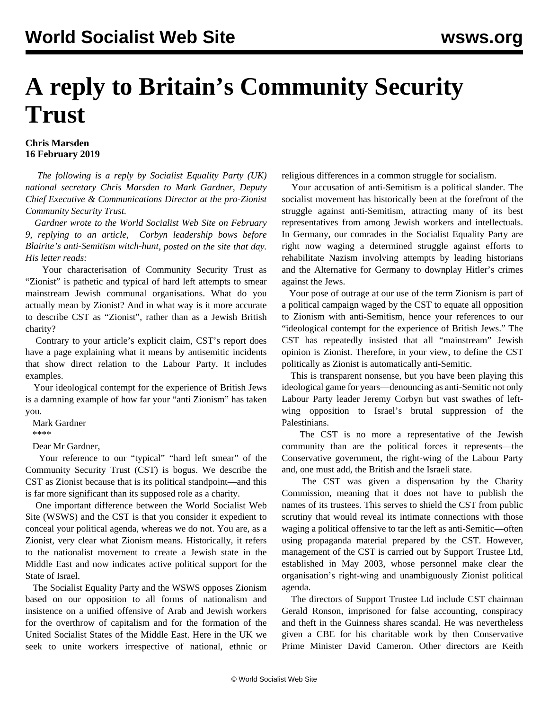## **A reply to Britain's Community Security Trust**

## **Chris Marsden 16 February 2019**

 *The following is a reply by Socialist Equality Party (UK) national secretary Chris Marsden to Mark Gardner, Deputy Chief Executive & Communications Director at the pro-Zionist Community Security Trust.*

 *Gardner wrote to the World Socialist Web Site on February 9, replying to an article, [Corbyn leadership bows before](/en/articles/2019/02/09/labo-f09.html) [Blairite's anti-Semitism witch-hunt,](/en/articles/2019/02/09/labo-f09.html) posted on the site that day. His letter reads:*

 Your characterisation of Community Security Trust as "Zionist" is pathetic and typical of hard left attempts to smear mainstream Jewish communal organisations. What do you actually mean by Zionist? And in what way is it more accurate to describe CST as "Zionist", rather than as a Jewish British charity?

 Contrary to your article's explicit claim, CST's report does have a page explaining what it means by antisemitic incidents that show direct relation to the Labour Party. It includes examples.

 Your ideological contempt for the experience of British Jews is a damning example of how far your "anti Zionism" has taken you.

Mark Gardner

\*\*\*\*

Dear Mr Gardner,

 Your reference to our "typical" "hard left smear" of the Community Security Trust (CST) is bogus. We describe the CST as Zionist because that is its political standpoint—and this is far more significant than its supposed role as a charity.

 One important difference between the World Socialist Web Site (WSWS) and the CST is that you consider it expedient to conceal your political agenda, whereas we do not. You are, as a Zionist, very clear what Zionism means. Historically, it refers to the nationalist movement to create a Jewish state in the Middle East and now indicates active political support for the State of Israel.

 The Socialist Equality Party and the WSWS opposes Zionism based on our opposition to all forms of nationalism and insistence on a unified offensive of Arab and Jewish workers for the overthrow of capitalism and for the formation of the United Socialist States of the Middle East. Here in the UK we seek to unite workers irrespective of national, ethnic or

religious differences in a common struggle for socialism.

 Your accusation of anti-Semitism is a political slander. The socialist movement has historically been at the forefront of the struggle against anti-Semitism, attracting many of its best representatives from among Jewish workers and intellectuals. In Germany, our comrades in the Socialist Equality Party are right now waging a determined struggle against efforts to rehabilitate Nazism involving attempts by leading historians and the Alternative for Germany to downplay Hitler's crimes against the Jews.

 Your pose of outrage at our use of the term Zionism is part of a political campaign waged by the CST to equate all opposition to Zionism with anti-Semitism, hence your references to our "ideological contempt for the experience of British Jews." The CST has repeatedly insisted that all "mainstream" Jewish opinion is Zionist. Therefore, in your view, to define the CST politically as Zionist is automatically anti-Semitic.

 This is transparent nonsense, but you have been playing this ideological game for years—denouncing as anti-Semitic not only Labour Party leader Jeremy Corbyn but vast swathes of leftwing opposition to Israel's brutal suppression of the Palestinians.

 The CST is no more a representative of the Jewish community than are the political forces it represents—the Conservative government, the right-wing of the Labour Party and, one must add, the British and the Israeli state.

 The CST was given a dispensation by the Charity Commission, meaning that it does not have to publish the names of its trustees. This serves to shield the CST from public scrutiny that would reveal its intimate connections with those waging a political offensive to tar the left as anti-Semitic—often using propaganda material prepared by the CST. However, management of the CST is carried out by Support Trustee Ltd, established in May 2003, whose personnel make clear the organisation's right-wing and unambiguously Zionist political agenda.

 The directors of Support Trustee Ltd include CST chairman Gerald Ronson, imprisoned for false accounting, conspiracy and theft in the Guinness shares scandal. He was nevertheless given a CBE for his charitable work by then Conservative Prime Minister David Cameron. Other directors are Keith